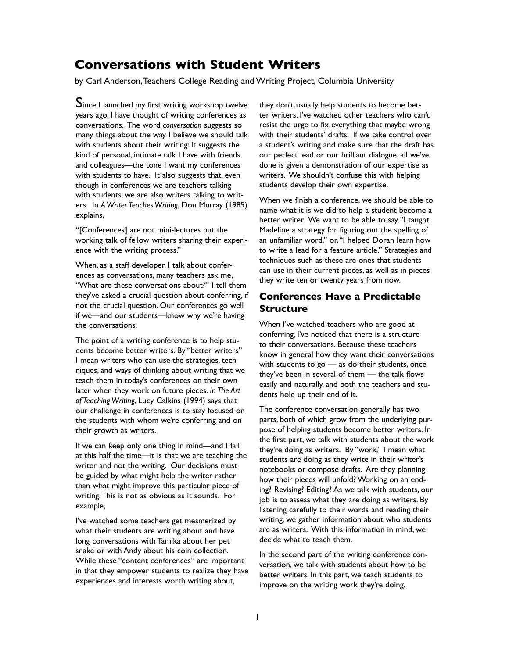# **Conversations with Student Writers**

by Carl Anderson, Teachers College Reading and Writing Project, Columbia University

Since I launched my first writing workshop twelve years ago, I have thought of writing conferences as conversations. The word *conversation* suggests so many things about the way I believe we should talk with students about their writing: It suggests the kind of personal, intimate talk I have with friends and colleagues—the tone I want my conferences with students to have. It also suggests that, even though in conferences we are teachers talking with students, we are also writers talking to writers. In *A Writer Teaches Writing*, Don Murray (1985) explains,

"[Conferences] are not mini-lectures but the working talk of fellow writers sharing their experience with the writing process."

When, as a staff developer, I talk about conferences as conversations, many teachers ask me, "What are these conversations about?" I tell them they've asked a crucial question about conferring, if not the crucial question. Our conferences go well if we—and our students—know why we're having the conversations.

The point of a writing conference is to help students become better writers. By "better writers" I mean writers who can use the strategies, techniques, and ways of thinking about writing that we teach them in today's conferences on their own later when they work on future pieces. *In The Art of Teaching Writing*, Lucy Calkins (1994) says that our challenge in conferences is to stay focused on the students with whom we're conferring and on their growth as writers.

If we can keep only one thing in mind—and I fail at this half the time—it is that we are teaching the writer and not the writing. Our decisions must be guided by what might help the writer rather than what might improve this particular piece of writing. This is not as obvious as it sounds. For example,

I've watched some teachers get mesmerized by what their students are writing about and have long conversations with Tamika about her pet snake or with Andy about his coin collection. While these "content conferences" are important in that they empower students to realize they have experiences and interests worth writing about,

they don't usually help students to become better writers. I've watched other teachers who can't resist the urge to fix everything that maybe wrong with their students' drafts. If we take control over a student's writing and make sure that the draft has our perfect lead or our brilliant dialogue, all we've done is given a demonstration of our expertise as writers. We shouldn't confuse this with helping students develop their own expertise.

When we finish a conference, we should be able to name what it is we did to help a student become a better writer. We want to be able to say, "I taught Madeline a strategy for figuring out the spelling of an unfamiliar word," or, "I helped Doran learn how to write a lead for a feature article." Strategies and techniques such as these are ones that students can use in their current pieces, as well as in pieces they write ten or twenty years from now.

## **Conferences Have a Predictable Structure**

When I've watched teachers who are good at conferring, I've noticed that there is a structure to their conversations. Because these teachers know in general how they want their conversations with students to go — as do their students, once they've been in several of them — the talk flows easily and naturally, and both the teachers and students hold up their end of it.

The conference conversation generally has two parts, both of which grow from the underlying purpose of helping students become better writers. In the first part, we talk with students about the work they're doing as writers. By "work," I mean what students are doing as they write in their writer's notebooks or compose drafts. Are they planning how their pieces will unfold? Working on an ending? Revising? Editing? As we talk with students, our job is to assess what they are doing as writers. By listening carefully to their words and reading their writing, we gather information about who students are as writers. With this information in mind, we decide what to teach them.

In the second part of the writing conference conversation, we talk with students about how to be better writers. In this part, we teach students to improve on the writing work they're doing.